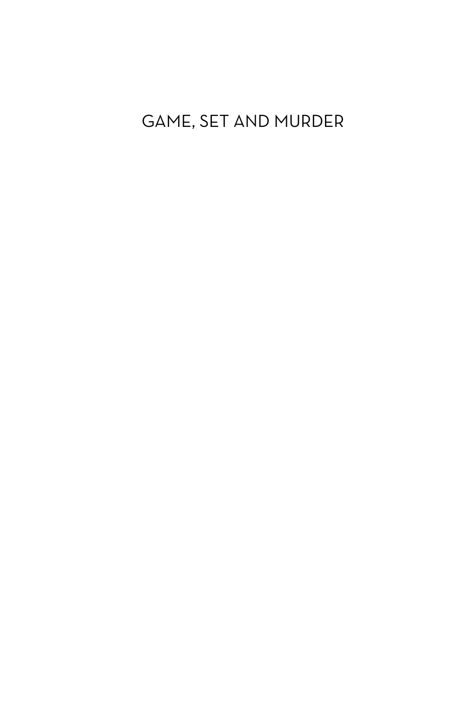### GAME, SET AND MURDER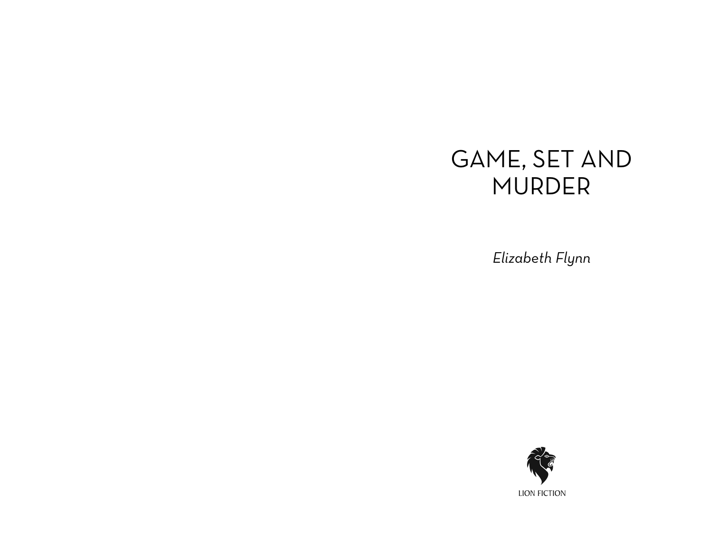# GAME, SET AND MURDER

*Elizabeth Flynn*

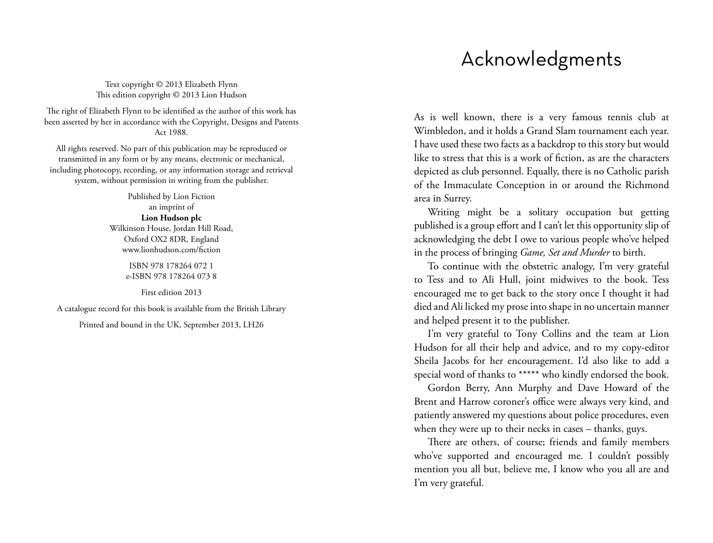Acknowledgments

Text copyright © 2013 Elizabeth Flynn This edition copyright © 2013 Lion Hudson

The right of Elizabeth Flynn to be identified as the author of this work has been asserted by her in accordance with the Copyright, Designs and Patents Act 1988.

All rights reserved. No part of this publication may be reproduced or transmitted in any form or by any means, electronic or mechanical, including photocopy, recording, or any information storage and retrieval system, without permission in writing from the publisher.

> Published by Lion Fiction an imprint of **Lion Hudson plc** Wilkinson House, Jordan Hill Road, Oxford OX2 8DR, England www.lionhudson.com/fiction

> > ISBN 978 178264 072 1 e-ISBN 978 178264 073 8

> > > First edition 2013

A catalogue record for this book is available from the British Library

Printed and bound in the UK, September 2013, LH26

As is well known, there is a very famous tennis club at Wimbledon, and it holds a Grand Slam tournament each year. I have used these two facts as a backdrop to this story but would like to stress that this is a work of fiction, as are the characters depicted as club personnel. Equally, there is no Catholic parish of the Immaculate Conception in or around the Richmond area in Surrey.

Writing might be a solitary occupation but getting published is a group effort and I can't let this opportunity slip of acknowledging the debt I owe to various people who've helped in the process of bringing *Game, Set and Murder* to birth.

To continue with the obstetric analogy, I'm very grateful to Tess and to Ali Hull, joint midwives to the book. Tess encouraged me to get back to the story once I thought it had died and Ali licked my prose into shape in no uncertain manner and helped present it to the publisher.

I'm very grateful to Tony Collins and the team at Lion Hudson for all their help and advice, and to my copy-editor Sheila Jacobs for her encouragement. I'd also like to add a special word of thanks to \*\*\*\*\* who kindly endorsed the book.

Gordon Berry, Ann Murphy and Dave Howard of the Brent and Harrow coroner's office were always very kind, and patiently answered my questions about police procedures, even when they were up to their necks in cases – thanks, guys.

There are others, of course; friends and family members who've supported and encouraged me. I couldn't possibly mention you all but, believe me, I know who you all are and I'm very grateful.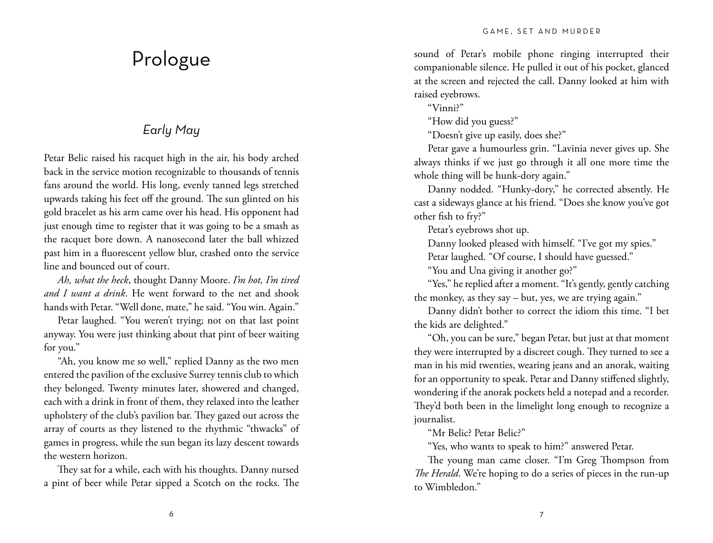## Prologue

#### *Early May*

Petar Belic raised his racquet high in the air, his body arched back in the service motion recognizable to thousands of tennis fans around the world. His long, evenly tanned legs stretched upwards taking his feet off the ground. The sun glinted on his gold bracelet as his arm came over his head. His opponent had just enough time to register that it was going to be a smash as the racquet bore down. A nanosecond later the ball whizzed past him in a fluorescent yellow blur, crashed onto the service line and bounced out of court.

*Ah, what the heck*, thought Danny Moore. *I'm hot, I'm tired and I want a drink*. He went forward to the net and shook hands with Petar. "Well done, mate," he said. "You win. Again."

Petar laughed. "You weren't trying; not on that last point anyway. You were just thinking about that pint of beer waiting for you."

"Ah, you know me so well," replied Danny as the two men entered the pavilion of the exclusive Surrey tennis club to which they belonged. Twenty minutes later, showered and changed, each with a drink in front of them, they relaxed into the leather upholstery of the club's pavilion bar. They gazed out across the array of courts as they listened to the rhythmic "thwacks" of games in progress, while the sun began its lazy descent towards the western horizon.

They sat for a while, each with his thoughts. Danny nursed a pint of beer while Petar sipped a Scotch on the rocks. The sound of Petar's mobile phone ringing interrupted their companionable silence. He pulled it out of his pocket, glanced at the screen and rejected the call. Danny looked at him with raised eyebrows.

"Vinni?"

"How did you guess?"

"Doesn't give up easily, does she?"

Petar gave a humourless grin. "Lavinia never gives up. She always thinks if we just go through it all one more time the whole thing will be hunk-dory again."

Danny nodded. "Hunky-dory," he corrected absently. He cast a sideways glance at his friend. "Does she know you've got other fish to fry?"

Petar's eyebrows shot up.

Danny looked pleased with himself. "I've got my spies."

Petar laughed. "Of course, I should have guessed."

"You and Una giving it another go?"

"Yes," he replied after a moment. "It's gently, gently catching the monkey, as they say – but, yes, we are trying again."

Danny didn't bother to correct the idiom this time. "I bet the kids are delighted."

"Oh, you can be sure," began Petar, but just at that moment they were interrupted by a discreet cough. They turned to see a man in his mid twenties, wearing jeans and an anorak, waiting for an opportunity to speak. Petar and Danny stiffened slightly, wondering if the anorak pockets held a notepad and a recorder. They'd both been in the limelight long enough to recognize a journalist.

"Mr Belic? Petar Belic?"

"Yes, who wants to speak to him?" answered Petar.

The young man came closer. "I'm Greg Thompson from *The Herald*. We're hoping to do a series of pieces in the run-up to Wimbledon."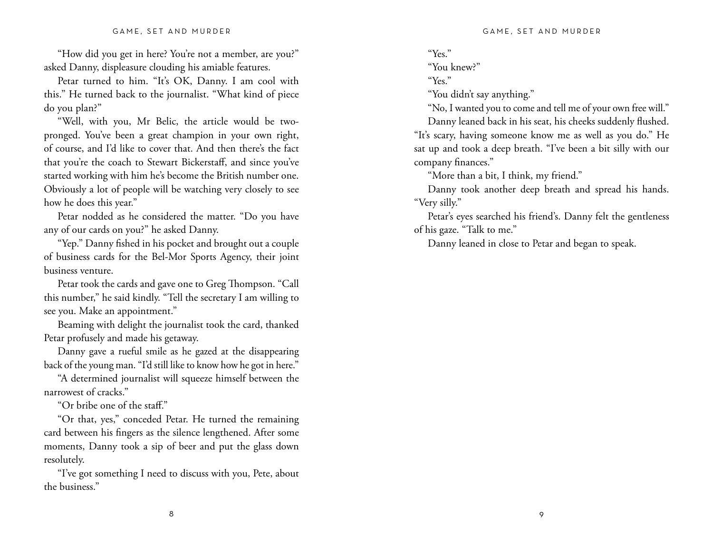"How did you get in here? You're not a member, are you?" asked Danny, displeasure clouding his amiable features.

Petar turned to him. "It's OK, Danny. I am cool with this." He turned back to the journalist. "What kind of piece do you plan?"

"Well, with you, Mr Belic, the article would be twopronged. You've been a great champion in your own right, of course, and I'd like to cover that. And then there's the fact that you're the coach to Stewart Bickerstaff, and since you've started working with him he's become the British number one. Obviously a lot of people will be watching very closely to see how he does this year."

Petar nodded as he considered the matter. "Do you have any of our cards on you?" he asked Danny.

"Yep." Danny fished in his pocket and brought out a couple of business cards for the Bel-Mor Sports Agency, their joint business venture.

Petar took the cards and gave one to Greg Thompson. "Call this number," he said kindly. "Tell the secretary I am willing to see you. Make an appointment."

Beaming with delight the journalist took the card, thanked Petar profusely and made his getaway.

Danny gave a rueful smile as he gazed at the disappearing back of the young man. "I'd still like to know how he got in here."

"A determined journalist will squeeze himself between the narrowest of cracks."

"Or bribe one of the staff."

"Or that, yes," conceded Petar. He turned the remaining card between his fingers as the silence lengthened. After some moments, Danny took a sip of beer and put the glass down resolutely.

"I've got something I need to discuss with you, Pete, about the business."

"Yes."

"You knew?"

"Yes."

"You didn't say anything."

"No, I wanted you to come and tell me of your own free will."

Danny leaned back in his seat, his cheeks suddenly flushed. "It's scary, having someone know me as well as you do." He sat up and took a deep breath. "I've been a bit silly with our company finances."

"More than a bit, I think, my friend."

Danny took another deep breath and spread his hands. "Very silly."

Petar's eyes searched his friend's. Danny felt the gentleness of his gaze. "Talk to me."

Danny leaned in close to Petar and began to speak.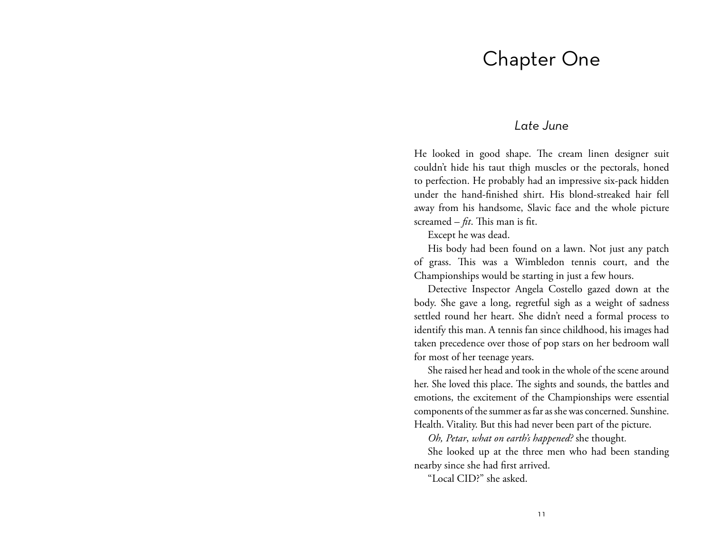### Chapter One

#### *Late June*

He looked in good shape. The cream linen designer suit couldn't hide his taut thigh muscles or the pectorals, honed to perfection. He probably had an impressive six-pack hidden under the hand-finished shirt. His blond-streaked hair fell away from his handsome, Slavic face and the whole picture screamed – *fit*. This man is fit.

Except he was dead.

His body had been found on a lawn. Not just any patch of grass. This was a Wimbledon tennis court, and the Championships would be starting in just a few hours.

Detective Inspector Angela Costello gazed down at the body. She gave a long, regretful sigh as a weight of sadness settled round her heart. She didn't need a formal process to identify this man. A tennis fan since childhood, his images had taken precedence over those of pop stars on her bedroom wall for most of her teenage years.

She raised her head and took in the whole of the scene around her. She loved this place. The sights and sounds, the battles and emotions, the excitement of the Championships were essential components of the summer as far as she was concerned. Sunshine. Health. Vitality. But this had never been part of the picture.

*Oh, Petar*, *what on earth's happened?* she thought*.* 

She looked up at the three men who had been standing nearby since she had first arrived.

"Local CID?" she asked.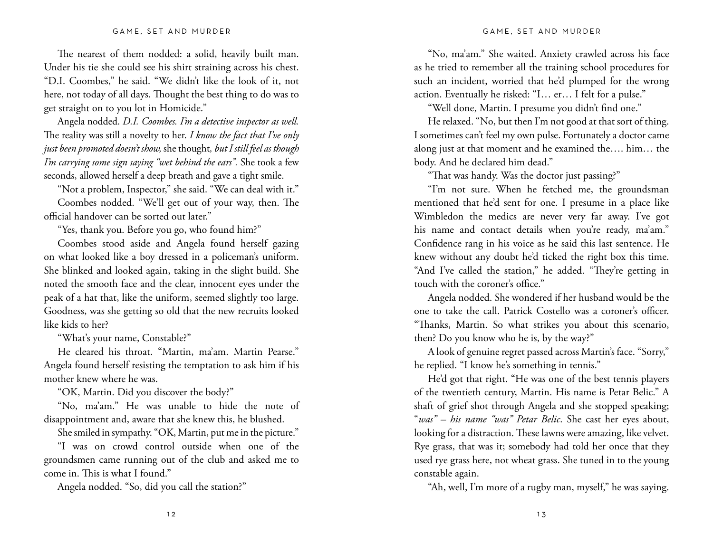The nearest of them nodded: a solid, heavily built man. Under his tie she could see his shirt straining across his chest. "D.I. Coombes," he said. "We didn't like the look of it, not here, not today of all days. Thought the best thing to do was to get straight on to you lot in Homicide."

Angela nodded. *D.I. Coombes. I'm a detective inspector as well.*  The reality was still a novelty to her. *I know the fact that I've only just been promoted doesn't show,* she thought*, but I still feel as though I'm carrying some sign saying "wet behind the ears".* She took a few seconds, allowed herself a deep breath and gave a tight smile.

"Not a problem, Inspector," she said. "We can deal with it."

Coombes nodded. "We'll get out of your way, then. The official handover can be sorted out later."

"Yes, thank you. Before you go, who found him?"

Coombes stood aside and Angela found herself gazing on what looked like a boy dressed in a policeman's uniform. She blinked and looked again, taking in the slight build. She noted the smooth face and the clear, innocent eyes under the peak of a hat that, like the uniform, seemed slightly too large. Goodness, was she getting so old that the new recruits looked like kids to her?

"What's your name, Constable?"

He cleared his throat. "Martin, ma'am. Martin Pearse." Angela found herself resisting the temptation to ask him if his mother knew where he was.

"OK, Martin. Did you discover the body?"

"No, ma'am." He was unable to hide the note of disappointment and, aware that she knew this, he blushed.

She smiled in sympathy. "OK, Martin, put me in the picture."

"I was on crowd control outside when one of the groundsmen came running out of the club and asked me to come in. This is what I found."

Angela nodded. "So, did you call the station?"

"No, ma'am." She waited. Anxiety crawled across his face as he tried to remember all the training school procedures for such an incident, worried that he'd plumped for the wrong action. Eventually he risked: "I… er… I felt for a pulse."

"Well done, Martin. I presume you didn't find one."

He relaxed. "No, but then I'm not good at that sort of thing. I sometimes can't feel my own pulse. Fortunately a doctor came along just at that moment and he examined the…. him… the body. And he declared him dead."

"That was handy. Was the doctor just passing?"

"I'm not sure. When he fetched me, the groundsman mentioned that he'd sent for one. I presume in a place like Wimbledon the medics are never very far away. I've got his name and contact details when you're ready, ma'am." Confidence rang in his voice as he said this last sentence. He knew without any doubt he'd ticked the right box this time. "And I've called the station," he added. "They're getting in touch with the coroner's office."

Angela nodded. She wondered if her husband would be the one to take the call. Patrick Costello was a coroner's officer. "Thanks, Martin. So what strikes you about this scenario, then? Do you know who he is, by the way?"

A look of genuine regret passed across Martin's face. "Sorry," he replied. "I know he's something in tennis."

He'd got that right. "He was one of the best tennis players of the twentieth century, Martin. His name is Petar Belic." A shaft of grief shot through Angela and she stopped speaking; "*was" – his name "was" Petar Belic*. She cast her eyes about, looking for a distraction. These lawns were amazing, like velvet. Rye grass, that was it; somebody had told her once that they used rye grass here, not wheat grass. She tuned in to the young constable again.

"Ah, well, I'm more of a rugby man, myself," he was saying.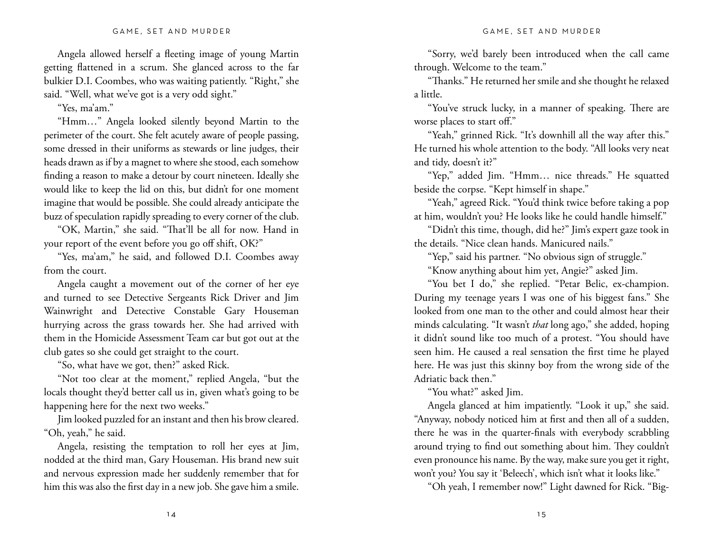Angela allowed herself a fleeting image of young Martin getting flattened in a scrum. She glanced across to the far bulkier D.I. Coombes, who was waiting patiently. "Right," she said. "Well, what we've got is a very odd sight."

"Yes, ma'am."

"Hmm…" Angela looked silently beyond Martin to the perimeter of the court. She felt acutely aware of people passing, some dressed in their uniforms as stewards or line judges, their heads drawn as if by a magnet to where she stood, each somehow finding a reason to make a detour by court nineteen. Ideally she would like to keep the lid on this, but didn't for one moment imagine that would be possible. She could already anticipate the buzz of speculation rapidly spreading to every corner of the club.

"OK, Martin," she said. "That'll be all for now. Hand in your report of the event before you go off shift, OK?"

"Yes, ma'am," he said, and followed D.I. Coombes away from the court.

Angela caught a movement out of the corner of her eye and turned to see Detective Sergeants Rick Driver and Jim Wainwright and Detective Constable Gary Houseman hurrying across the grass towards her. She had arrived with them in the Homicide Assessment Team car but got out at the club gates so she could get straight to the court.

"So, what have we got, then?" asked Rick.

"Not too clear at the moment," replied Angela, "but the locals thought they'd better call us in, given what's going to be happening here for the next two weeks."

Jim looked puzzled for an instant and then his brow cleared. "Oh, yeah," he said.

Angela, resisting the temptation to roll her eyes at Jim, nodded at the third man, Gary Houseman. His brand new suit and nervous expression made her suddenly remember that for him this was also the first day in a new job. She gave him a smile.

"Sorry, we'd barely been introduced when the call came through. Welcome to the team."

"Thanks." He returned her smile and she thought he relaxed a little.

"You've struck lucky, in a manner of speaking. There are worse places to start off."

"Yeah," grinned Rick. "It's downhill all the way after this." He turned his whole attention to the body. "All looks very neat and tidy, doesn't it?"

"Yep," added Jim. "Hmm… nice threads." He squatted beside the corpse. "Kept himself in shape."

"Yeah," agreed Rick. "You'd think twice before taking a pop at him, wouldn't you? He looks like he could handle himself."

"Didn't this time, though, did he?" Jim's expert gaze took in the details. "Nice clean hands. Manicured nails."

"Yep," said his partner. "No obvious sign of struggle."

"Know anything about him yet, Angie?" asked Jim.

"You bet I do," she replied. "Petar Belic, ex-champion. During my teenage years I was one of his biggest fans." She looked from one man to the other and could almost hear their minds calculating. "It wasn't *that* long ago," she added, hoping it didn't sound like too much of a protest. "You should have seen him. He caused a real sensation the first time he played here. He was just this skinny boy from the wrong side of the Adriatic back then."

"You what?" asked Jim.

Angela glanced at him impatiently. "Look it up," she said. "Anyway, nobody noticed him at first and then all of a sudden, there he was in the quarter-finals with everybody scrabbling around trying to find out something about him. They couldn't even pronounce his name. By the way, make sure you get it right, won't you? You say it 'Beleech', which isn't what it looks like."

"Oh yeah, I remember now!" Light dawned for Rick. "Big-